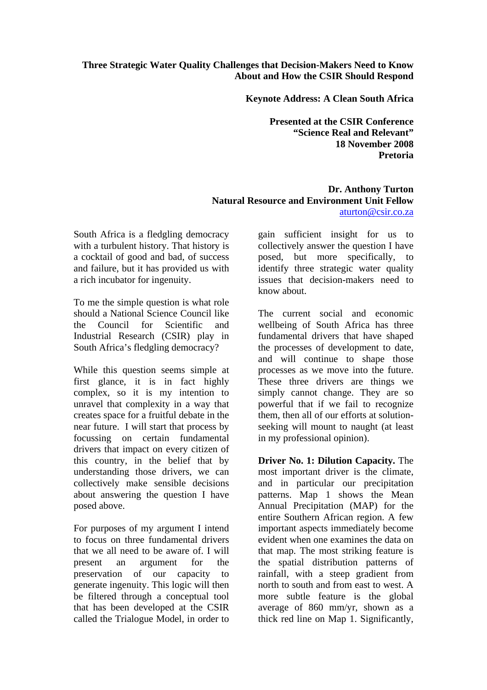## **Three Strategic Water Quality Challenges that Decision-Makers Need to Know About and How the CSIR Should Respond**

**Keynote Address: A Clean South Africa** 

**Presented at the CSIR Conference "Science Real and Relevant" 18 November 2008 Pretoria** 

## **Dr. Anthony Turton Natural Resource and Environment Unit Fellow**  aturton@csir.co.za

South Africa is a fledgling democracy with a turbulent history. That history is a cocktail of good and bad, of success and failure, but it has provided us with a rich incubator for ingenuity.

To me the simple question is what role should a National Science Council like the Council for Scientific and Industrial Research (CSIR) play in South Africa's fledgling democracy?

While this question seems simple at first glance, it is in fact highly complex, so it is my intention to unravel that complexity in a way that creates space for a fruitful debate in the near future. I will start that process by focussing on certain fundamental drivers that impact on every citizen of this country, in the belief that by understanding those drivers, we can collectively make sensible decisions about answering the question I have posed above.

For purposes of my argument I intend to focus on three fundamental drivers that we all need to be aware of. I will present an argument for the preservation of our capacity to generate ingenuity. This logic will then be filtered through a conceptual tool that has been developed at the CSIR called the Trialogue Model, in order to

gain sufficient insight for us to collectively answer the question I have posed, but more specifically, to identify three strategic water quality issues that decision-makers need to know about.

The current social and economic wellbeing of South Africa has three fundamental drivers that have shaped the processes of development to date, and will continue to shape those processes as we move into the future. These three drivers are things we simply cannot change. They are so powerful that if we fail to recognize them, then all of our efforts at solutionseeking will mount to naught (at least in my professional opinion).

**Driver No. 1: Dilution Capacity.** The most important driver is the climate, and in particular our precipitation patterns. Map 1 shows the Mean Annual Precipitation (MAP) for the entire Southern African region. A few important aspects immediately become evident when one examines the data on that map. The most striking feature is the spatial distribution patterns of rainfall, with a steep gradient from north to south and from east to west. A more subtle feature is the global average of 860 mm/yr, shown as a thick red line on Map 1. Significantly,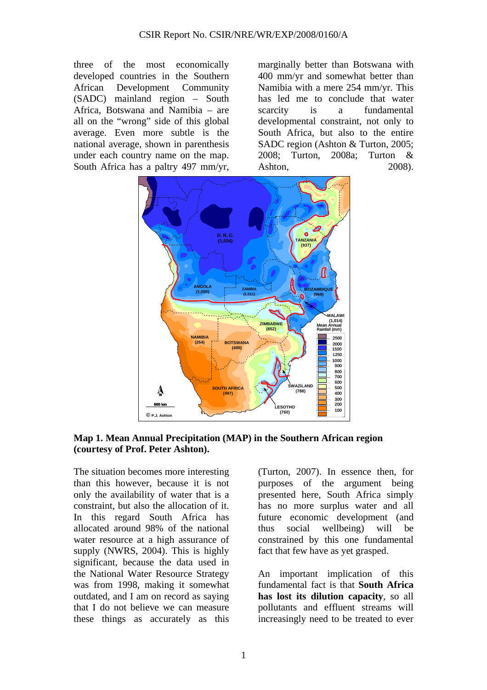three of the most economically developed countries in the Southern African Development Community (SADC) mainland region – South Africa, Botswana and Namibia – are all on the "wrong" side of this global average. Even more subtle is the national average, shown in parenthesis under each country name on the map. South Africa has a paltry 497 mm/yr,

marginally better than Botswana with 400 mm/yr and somewhat better than Namibia with a mere 254 mm/yr. This has led me to conclude that water scarcity is a fundamental developmental constraint, not only to South Africa, but also to the entire SADC region (Ashton & Turton, 2005; 2008; Turton, 2008a; Turton & Ashton, 2008).



**Map 1. Mean Annual Precipitation (MAP) in the Southern African region (courtesy of Prof. Peter Ashton).** 

The situation becomes more interesting than this however, because it is not only the availability of water that is a constraint, but also the allocation of it. In this regard South Africa has allocated around 98% of the national water resource at a high assurance of supply (NWRS, 2004). This is highly significant, because the data used in the National Water Resource Strategy was from 1998, making it somewhat outdated, and I am on record as saying that I do not believe we can measure these things as accurately as this

(Turton, 2007). In essence then, for purposes of the argument being presented here, South Africa simply has no more surplus water and all future economic development (and thus social wellbeing) will be constrained by this one fundamental fact that few have as yet grasped.

An important implication of this fundamental fact is that **South Africa has lost its dilution capacity**, so all pollutants and effluent streams will increasingly need to be treated to ever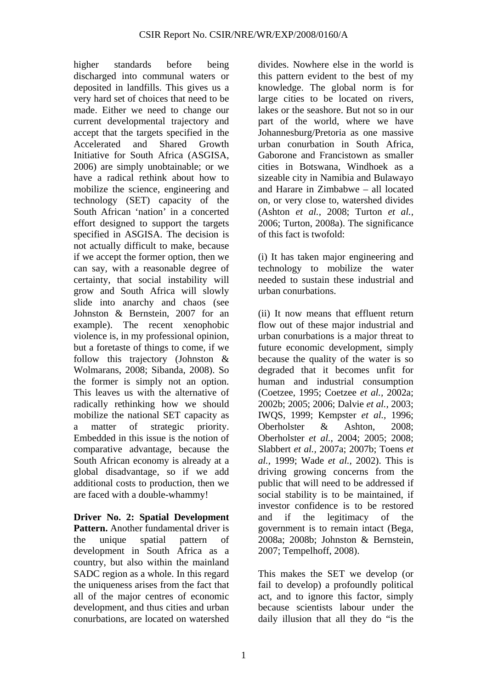higher standards before being discharged into communal waters or deposited in landfills. This gives us a very hard set of choices that need to be made. Either we need to change our current developmental trajectory and accept that the targets specified in the Accelerated and Shared Growth Initiative for South Africa (ASGISA, 2006) are simply unobtainable; or we have a radical rethink about how to mobilize the science, engineering and technology (SET) capacity of the South African 'nation' in a concerted effort designed to support the targets specified in ASGISA. The decision is not actually difficult to make, because if we accept the former option, then we can say, with a reasonable degree of certainty, that social instability will grow and South Africa will slowly slide into anarchy and chaos (see Johnston & Bernstein, 2007 for an example). The recent xenophobic violence is, in my professional opinion, but a foretaste of things to come, if we follow this trajectory (Johnston & Wolmarans, 2008; Sibanda, 2008). So the former is simply not an option. This leaves us with the alternative of radically rethinking how we should mobilize the national SET capacity as a matter of strategic priority. Embedded in this issue is the notion of comparative advantage, because the South African economy is already at a global disadvantage, so if we add additional costs to production, then we are faced with a double-whammy!

**Driver No. 2: Spatial Development Pattern.** Another fundamental driver is the unique spatial pattern of development in South Africa as a country, but also within the mainland SADC region as a whole. In this regard the uniqueness arises from the fact that all of the major centres of economic development, and thus cities and urban conurbations, are located on watershed

divides. Nowhere else in the world is this pattern evident to the best of my knowledge. The global norm is for large cities to be located on rivers, lakes or the seashore. But not so in our part of the world, where we have Johannesburg/Pretoria as one massive urban conurbation in South Africa, Gaborone and Francistown as smaller cities in Botswana, Windhoek as a sizeable city in Namibia and Bulawayo and Harare in Zimbabwe – all located on, or very close to, watershed divides (Ashton *et al.,* 2008; Turton *et al.,* 2006; Turton, 2008a). The significance of this fact is twofold:

(i) It has taken major engineering and technology to mobilize the water needed to sustain these industrial and urban conurbations.

(ii) It now means that effluent return flow out of these major industrial and urban conurbations is a major threat to future economic development, simply because the quality of the water is so degraded that it becomes unfit for human and industrial consumption (Coetzee, 1995; Coetzee *et al.,* 2002a; 2002b; 2005; 2006; Dalvie *et al.,* 2003; IWQS, 1999; Kempster *et al.,* 1996; Oberholster & Ashton, 2008; Oberholster *et al.,* 2004; 2005; 2008; Slabbert *et al.,* 2007a; 2007b; Toens *et al.,* 1999; Wade *et al.,* 2002). This is driving growing concerns from the public that will need to be addressed if social stability is to be maintained, if investor confidence is to be restored and if the legitimacy of the government is to remain intact (Bega, 2008a; 2008b; Johnston & Bernstein, 2007; Tempelhoff, 2008).

This makes the SET we develop (or fail to develop) a profoundly political act, and to ignore this factor, simply because scientists labour under the daily illusion that all they do "is the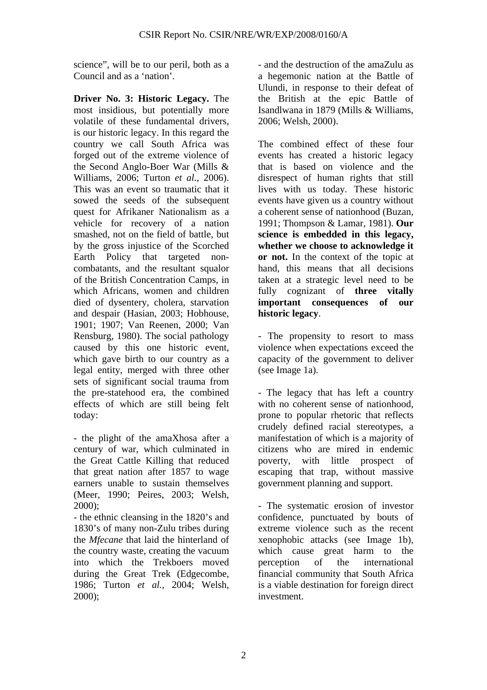science", will be to our peril, both as a Council and as a 'nation'.

**Driver No. 3: Historic Legacy.** The most insidious, but potentially more volatile of these fundamental drivers, is our historic legacy. In this regard the country we call South Africa was forged out of the extreme violence of the Second Anglo-Boer War (Mills & Williams, 2006; Turton *et al.,* 2006). This was an event so traumatic that it sowed the seeds of the subsequent quest for Afrikaner Nationalism as a vehicle for recovery of a nation smashed, not on the field of battle, but by the gross injustice of the Scorched Earth Policy that targeted noncombatants, and the resultant squalor of the British Concentration Camps, in which Africans, women and children died of dysentery, cholera, starvation and despair (Hasian, 2003; Hobhouse, 1901; 1907; Van Reenen, 2000; Van Rensburg, 1980). The social pathology caused by this one historic event, which gave birth to our country as a legal entity, merged with three other sets of significant social trauma from the pre-statehood era, the combined effects of which are still being felt today:

- the plight of the amaXhosa after a century of war, which culminated in the Great Cattle Killing that reduced that great nation after 1857 to wage earners unable to sustain themselves (Meer, 1990; Peires, 2003; Welsh, 2000);

- the ethnic cleansing in the 1820's and 1830's of many non-Zulu tribes during the *Mfecane* that laid the hinterland of the country waste, creating the vacuum into which the Trekboers moved during the Great Trek (Edgecombe, 1986; Turton *et al.,* 2004; Welsh, 2000);

- and the destruction of the amaZulu as a hegemonic nation at the Battle of Ulundi, in response to their defeat of the British at the epic Battle of Isandlwana in 1879 (Mills & Williams, 2006; Welsh, 2000).

The combined effect of these four events has created a historic legacy that is based on violence and the disrespect of human rights that still lives with us today. These historic events have given us a country without a coherent sense of nationhood (Buzan, 1991; Thompson & Lamar, 1981). **Our science is embedded in this legacy, whether we choose to acknowledge it or not.** In the context of the topic at hand, this means that all decisions taken at a strategic level need to be fully cognizant of **three vitally important consequences of our historic legacy**.

- The propensity to resort to mass violence when expectations exceed the capacity of the government to deliver (see Image 1a).

- The legacy that has left a country with no coherent sense of nationhood. prone to popular rhetoric that reflects crudely defined racial stereotypes, a manifestation of which is a majority of citizens who are mired in endemic poverty, with little prospect of escaping that trap, without massive government planning and support.

- The systematic erosion of investor confidence, punctuated by bouts of extreme violence such as the recent xenophobic attacks (see Image 1b), which cause great harm to the perception of the international financial community that South Africa is a viable destination for foreign direct investment.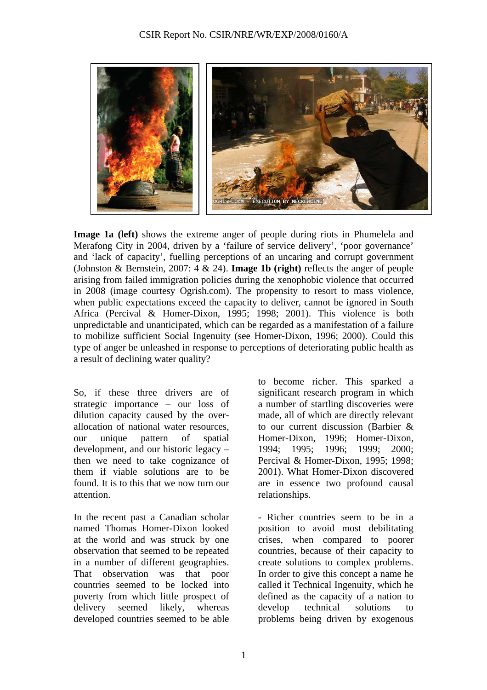

**Image 1a (left)** shows the extreme anger of people during riots in Phumelela and Merafong City in 2004, driven by a 'failure of service delivery', 'poor governance' and 'lack of capacity', fuelling perceptions of an uncaring and corrupt government (Johnston & Bernstein, 2007: 4 & 24). **Image 1b (right)** reflects the anger of people arising from failed immigration policies during the xenophobic violence that occurred in 2008 (image courtesy Ogrish.com). The propensity to resort to mass violence, when public expectations exceed the capacity to deliver, cannot be ignored in South Africa (Percival & Homer-Dixon, 1995; 1998; 2001). This violence is both unpredictable and unanticipated, which can be regarded as a manifestation of a failure to mobilize sufficient Social Ingenuity (see Homer-Dixon, 1996; 2000). Could this type of anger be unleashed in response to perceptions of deteriorating public health as a result of declining water quality?

So, if these three drivers are of strategic importance – our loss of dilution capacity caused by the overallocation of national water resources, our unique pattern of spatial development, and our historic legacy – then we need to take cognizance of them if viable solutions are to be found. It is to this that we now turn our attention.

In the recent past a Canadian scholar named Thomas Homer-Dixon looked at the world and was struck by one observation that seemed to be repeated in a number of different geographies. That observation was that poor countries seemed to be locked into poverty from which little prospect of delivery seemed likely, whereas developed countries seemed to be able

to become richer. This sparked a significant research program in which a number of startling discoveries were made, all of which are directly relevant to our current discussion (Barbier & Homer-Dixon, 1996; Homer-Dixon, 1994; 1995; 1996; 1999; 2000; Percival & Homer-Dixon, 1995; 1998; 2001). What Homer-Dixon discovered are in essence two profound causal relationships.

- Richer countries seem to be in a position to avoid most debilitating crises, when compared to poorer countries, because of their capacity to create solutions to complex problems. In order to give this concept a name he called it Technical Ingenuity, which he defined as the capacity of a nation to develop technical solutions to problems being driven by exogenous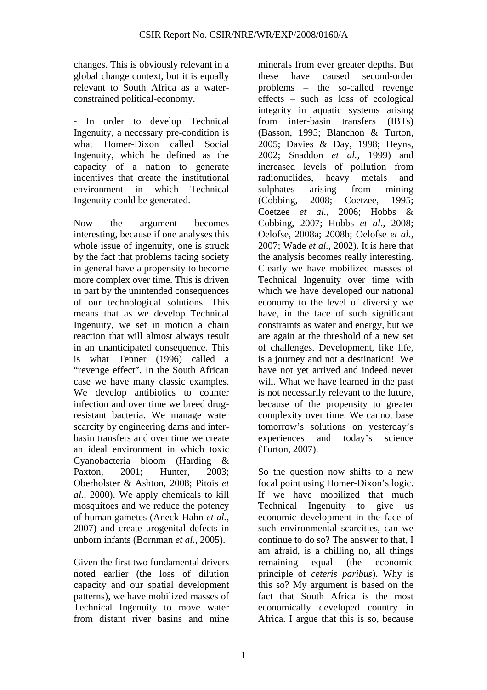changes. This is obviously relevant in a global change context, but it is equally relevant to South Africa as a waterconstrained political-economy.

- In order to develop Technical Ingenuity, a necessary pre-condition is what Homer-Dixon called Social Ingenuity, which he defined as the capacity of a nation to generate incentives that create the institutional environment in which Technical Ingenuity could be generated.

Now the argument becomes interesting, because if one analyses this whole issue of ingenuity, one is struck by the fact that problems facing society in general have a propensity to become more complex over time. This is driven in part by the unintended consequences of our technological solutions. This means that as we develop Technical Ingenuity, we set in motion a chain reaction that will almost always result in an unanticipated consequence. This is what Tenner (1996) called a "revenge effect". In the South African case we have many classic examples. We develop antibiotics to counter infection and over time we breed drugresistant bacteria. We manage water scarcity by engineering dams and interbasin transfers and over time we create an ideal environment in which toxic Cyanobacteria bloom (Harding & Paxton, 2001; Hunter, 2003; Oberholster & Ashton, 2008; Pitois *et al.,* 2000). We apply chemicals to kill mosquitoes and we reduce the potency of human gametes (Aneck-Hahn *et al.,* 2007) and create urogenital defects in unborn infants (Bornman *et al.,* 2005).

Given the first two fundamental drivers noted earlier (the loss of dilution capacity and our spatial development patterns), we have mobilized masses of Technical Ingenuity to move water from distant river basins and mine

minerals from ever greater depths. But these have caused second-order problems – the so-called revenge effects – such as loss of ecological integrity in aquatic systems arising from inter-basin transfers (IBTs) (Basson, 1995; Blanchon & Turton, 2005; Davies & Day, 1998; Heyns, 2002; Snaddon *et al.,* 1999) and increased levels of pollution from radionuclides, heavy metals and sulphates arising from mining (Cobbing, 2008; Coetzee, 1995; Coetzee *et al.,* 2006; Hobbs & Cobbing, 2007; Hobbs *et al.,* 2008; Oelofse, 2008a; 2008b; Oelofse *et al.,* 2007; Wade *et al.,* 2002). It is here that the analysis becomes really interesting. Clearly we have mobilized masses of Technical Ingenuity over time with which we have developed our national economy to the level of diversity we have, in the face of such significant constraints as water and energy, but we are again at the threshold of a new set of challenges. Development, like life, is a journey and not a destination! We have not yet arrived and indeed never will. What we have learned in the past is not necessarily relevant to the future, because of the propensity to greater complexity over time. We cannot base tomorrow's solutions on yesterday's experiences and today's science (Turton, 2007).

So the question now shifts to a new focal point using Homer-Dixon's logic. If we have mobilized that much Technical Ingenuity to give us economic development in the face of such environmental scarcities, can we continue to do so? The answer to that, I am afraid, is a chilling no, all things remaining equal (the economic principle of *ceteris paribus*). Why is this so? My argument is based on the fact that South Africa is the most economically developed country in Africa. I argue that this is so, because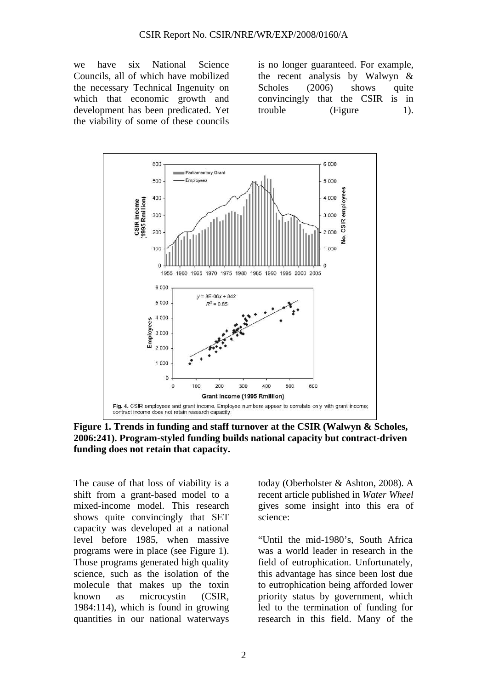we have six National Science Councils, all of which have mobilized the necessary Technical Ingenuity on which that economic growth and development has been predicated. Yet the viability of some of these councils

is no longer guaranteed. For example, the recent analysis by Walwyn & Scholes (2006) shows quite convincingly that the CSIR is in trouble (Figure 1).



**Figure 1. Trends in funding and staff turnover at the CSIR (Walwyn & Scholes, 2006:241). Program-styled funding builds national capacity but contract-driven funding does not retain that capacity.** 

The cause of that loss of viability is a shift from a grant-based model to a mixed-income model. This research shows quite convincingly that SET capacity was developed at a national level before 1985, when massive programs were in place (see Figure 1). Those programs generated high quality science, such as the isolation of the molecule that makes up the toxin known as microcystin (CSIR, 1984:114), which is found in growing quantities in our national waterways

today (Oberholster & Ashton, 2008). A recent article published in *Water Wheel* gives some insight into this era of science:

"Until the mid-1980's, South Africa was a world leader in research in the field of eutrophication. Unfortunately, this advantage has since been lost due to eutrophication being afforded lower priority status by government, which led to the termination of funding for research in this field. Many of the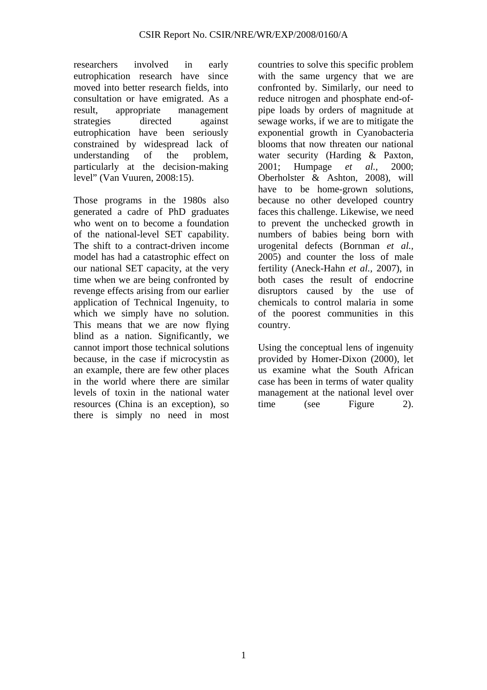researchers involved in early eutrophication research have since moved into better research fields, into consultation or have emigrated. As a result, appropriate management strategies directed against eutrophication have been seriously constrained by widespread lack of understanding of the problem, particularly at the decision-making level" (Van Vuuren, 2008:15).

Those programs in the 1980s also generated a cadre of PhD graduates who went on to become a foundation of the national-level SET capability. The shift to a contract-driven income model has had a catastrophic effect on our national SET capacity, at the very time when we are being confronted by revenge effects arising from our earlier application of Technical Ingenuity, to which we simply have no solution. This means that we are now flying blind as a nation. Significantly, we cannot import those technical solutions because, in the case if microcystin as an example, there are few other places in the world where there are similar levels of toxin in the national water resources (China is an exception), so there is simply no need in most

countries to solve this specific problem with the same urgency that we are confronted by. Similarly, our need to reduce nitrogen and phosphate end-ofpipe loads by orders of magnitude at sewage works, if we are to mitigate the exponential growth in Cyanobacteria blooms that now threaten our national water security (Harding & Paxton, 2001; Humpage *et al.,* 2000; Oberholster & Ashton, 2008), will have to be home-grown solutions, because no other developed country faces this challenge. Likewise, we need to prevent the unchecked growth in numbers of babies being born with urogenital defects (Bornman *et al.,* 2005) and counter the loss of male fertility (Aneck-Hahn *et al.,* 2007), in both cases the result of endocrine disruptors caused by the use of chemicals to control malaria in some of the poorest communities in this country.

Using the conceptual lens of ingenuity provided by Homer-Dixon (2000), let us examine what the South African case has been in terms of water quality management at the national level over time (see Figure 2).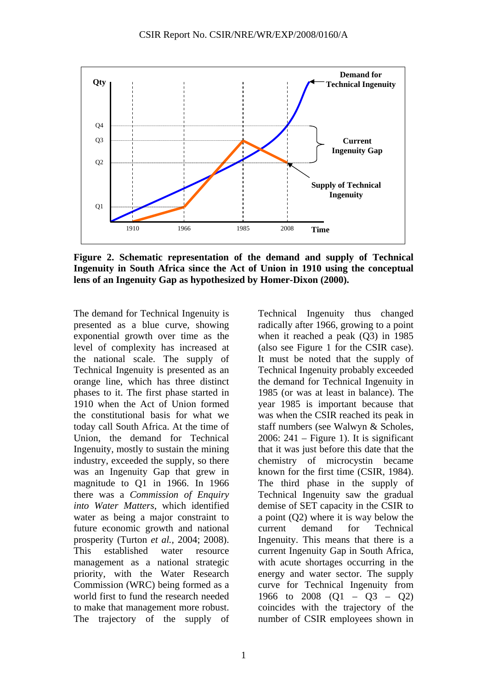

**Figure 2. Schematic representation of the demand and supply of Technical Ingenuity in South Africa since the Act of Union in 1910 using the conceptual lens of an Ingenuity Gap as hypothesized by Homer-Dixon (2000).** 

The demand for Technical Ingenuity is presented as a blue curve, showing exponential growth over time as the level of complexity has increased at the national scale. The supply of Technical Ingenuity is presented as an orange line, which has three distinct phases to it. The first phase started in 1910 when the Act of Union formed the constitutional basis for what we today call South Africa. At the time of Union, the demand for Technical Ingenuity, mostly to sustain the mining industry, exceeded the supply, so there was an Ingenuity Gap that grew in magnitude to Q1 in 1966. In 1966 there was a *Commission of Enquiry into Water Matters*, which identified water as being a major constraint to future economic growth and national prosperity (Turton *et al.,* 2004; 2008). This established water resource management as a national strategic priority, with the Water Research Commission (WRC) being formed as a world first to fund the research needed to make that management more robust. The trajectory of the supply of Technical Ingenuity thus changed radically after 1966, growing to a point when it reached a peak (Q3) in 1985 (also see Figure 1 for the CSIR case). It must be noted that the supply of Technical Ingenuity probably exceeded the demand for Technical Ingenuity in 1985 (or was at least in balance). The year 1985 is important because that was when the CSIR reached its peak in staff numbers (see Walwyn & Scholes, 2006:  $241$  – Figure 1). It is significant that it was just before this date that the chemistry of microcystin became known for the first time (CSIR, 1984). The third phase in the supply of Technical Ingenuity saw the gradual demise of SET capacity in the CSIR to a point (Q2) where it is way below the current demand for Technical Ingenuity. This means that there is a current Ingenuity Gap in South Africa, with acute shortages occurring in the energy and water sector. The supply curve for Technical Ingenuity from 1966 to 2008 (Q1 – Q3 – Q2) coincides with the trajectory of the number of CSIR employees shown in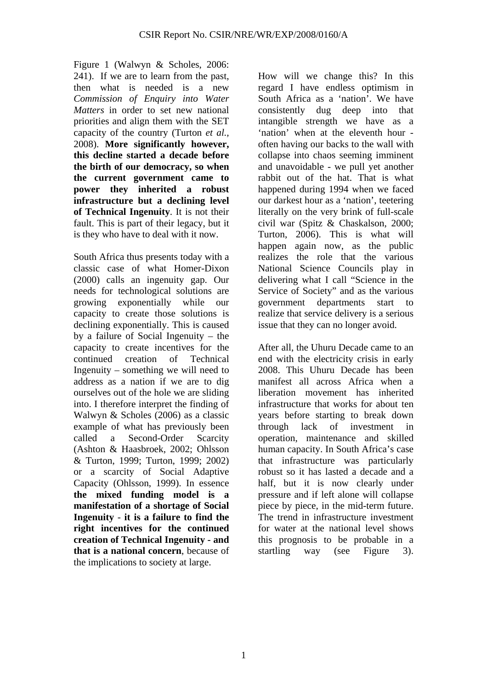Figure 1 (Walwyn & Scholes, 2006: 241). If we are to learn from the past, then what is needed is a new *Commission of Enquiry into Water Matters* in order to set new national priorities and align them with the SET capacity of the country (Turton *et al.,* 2008). **More significantly however, this decline started a decade before the birth of our democracy, so when the current government came to power they inherited a robust infrastructure but a declining level of Technical Ingenuity**. It is not their fault. This is part of their legacy, but it is they who have to deal with it now.

South Africa thus presents today with a classic case of what Homer-Dixon (2000) calls an ingenuity gap. Our needs for technological solutions are growing exponentially while our capacity to create those solutions is declining exponentially. This is caused by a failure of Social Ingenuity – the capacity to create incentives for the continued creation of Technical Ingenuity – something we will need to address as a nation if we are to dig ourselves out of the hole we are sliding into. I therefore interpret the finding of Walwyn & Scholes (2006) as a classic example of what has previously been called a Second-Order Scarcity (Ashton & Haasbroek, 2002; Ohlsson & Turton, 1999; Turton, 1999; 2002) or a scarcity of Social Adaptive Capacity (Ohlsson, 1999). In essence **the mixed funding model is a manifestation of a shortage of Social Ingenuity** - **it is a failure to find the right incentives for the continued creation of Technical Ingenuity - and that is a national concern**, because of the implications to society at large.

How will we change this? In this regard I have endless optimism in South Africa as a 'nation'. We have consistently dug deep into that intangible strength we have as a 'nation' when at the eleventh hour often having our backs to the wall with collapse into chaos seeming imminent and unavoidable - we pull yet another rabbit out of the hat. That is what happened during 1994 when we faced our darkest hour as a 'nation', teetering literally on the very brink of full-scale civil war (Spitz & Chaskalson, 2000; Turton, 2006). This is what will happen again now, as the public realizes the role that the various National Science Councils play in delivering what I call "Science in the Service of Society" and as the various government departments start to realize that service delivery is a serious issue that they can no longer avoid.

After all, the Uhuru Decade came to an end with the electricity crisis in early 2008. This Uhuru Decade has been manifest all across Africa when a liberation movement has inherited infrastructure that works for about ten years before starting to break down through lack of investment in operation, maintenance and skilled human capacity. In South Africa's case that infrastructure was particularly robust so it has lasted a decade and a half, but it is now clearly under pressure and if left alone will collapse piece by piece, in the mid-term future. The trend in infrastructure investment for water at the national level shows this prognosis to be probable in a startling way (see Figure 3).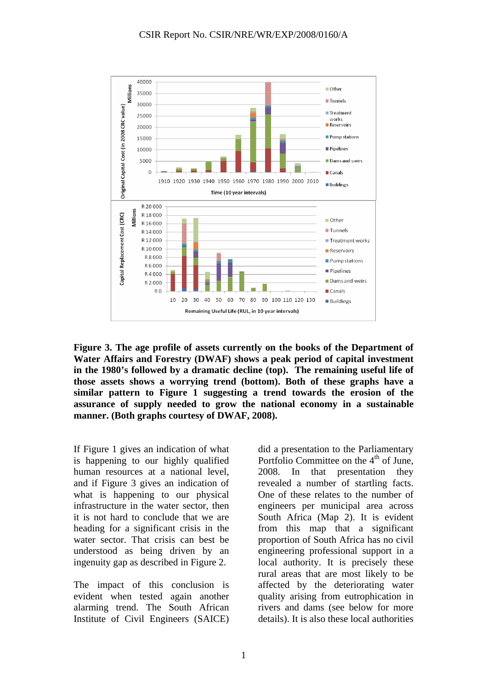

**Figure 3. The age profile of assets currently on the books of the Department of Water Affairs and Forestry (DWAF) shows a peak period of capital investment in the 1980's followed by a dramatic decline (top). The remaining useful life of those assets shows a worrying trend (bottom). Both of these graphs have a similar pattern to Figure 1 suggesting a trend towards the erosion of the assurance of supply needed to grow the national economy in a sustainable manner. (Both graphs courtesy of DWAF, 2008).** 

If Figure 1 gives an indication of what is happening to our highly qualified human resources at a national level, and if Figure 3 gives an indication of what is happening to our physical infrastructure in the water sector, then it is not hard to conclude that we are heading for a significant crisis in the water sector. That crisis can best be understood as being driven by an ingenuity gap as described in Figure 2.

The impact of this conclusion is evident when tested again another alarming trend. The South African Institute of Civil Engineers (SAICE)

did a presentation to the Parliamentary Portfolio Committee on the  $4<sup>th</sup>$  of June, 2008. In that presentation they revealed a number of startling facts. One of these relates to the number of engineers per municipal area across South Africa (Map 2). It is evident from this map that a significant proportion of South Africa has no civil engineering professional support in a local authority. It is precisely these rural areas that are most likely to be affected by the deteriorating water quality arising from eutrophication in rivers and dams (see below for more details). It is also these local authorities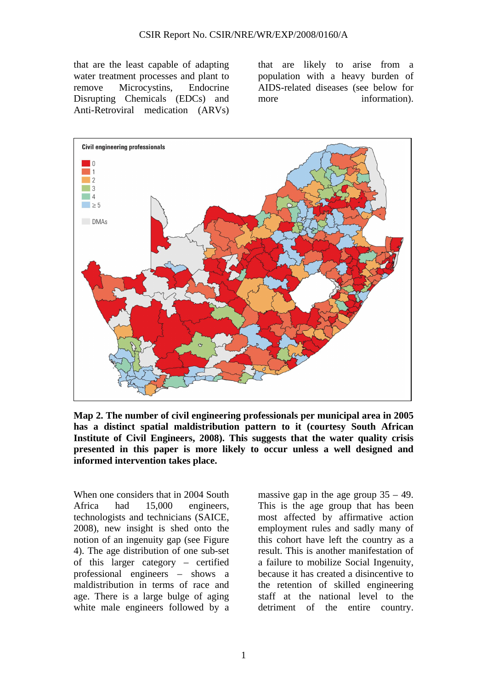that are the least capable of adapting water treatment processes and plant to remove Microcystins, Endocrine Disrupting Chemicals (EDCs) and Anti-Retroviral medication (ARVs) that are likely to arise from a population with a heavy burden of AIDS-related diseases (see below for more information).



**Map 2. The number of civil engineering professionals per municipal area in 2005 has a distinct spatial maldistribution pattern to it (courtesy South African Institute of Civil Engineers, 2008). This suggests that the water quality crisis presented in this paper is more likely to occur unless a well designed and informed intervention takes place.** 

When one considers that in 2004 South Africa had 15,000 engineers, technologists and technicians (SAICE, 2008), new insight is shed onto the notion of an ingenuity gap (see Figure 4). The age distribution of one sub-set of this larger category – certified professional engineers – shows a maldistribution in terms of race and age. There is a large bulge of aging white male engineers followed by a

massive gap in the age group  $35 - 49$ . This is the age group that has been most affected by affirmative action employment rules and sadly many of this cohort have left the country as a result. This is another manifestation of a failure to mobilize Social Ingenuity, because it has created a disincentive to the retention of skilled engineering staff at the national level to the detriment of the entire country.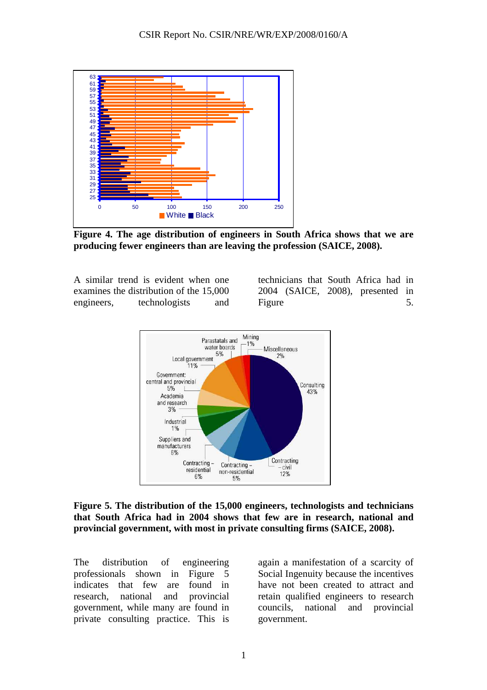

**Figure 4. The age distribution of engineers in South Africa shows that we are producing fewer engineers than are leaving the profession (SAICE, 2008).** 

A similar trend is evident when one examines the distribution of the 15,000 engineers, technologists and

technicians that South Africa had in 2004 (SAICE, 2008), presented in Figure 5.



## **Figure 5. The distribution of the 15,000 engineers, technologists and technicians that South Africa had in 2004 shows that few are in research, national and provincial government, with most in private consulting firms (SAICE, 2008).**

The distribution of engineering professionals shown in Figure 5 indicates that few are found in research, national and provincial government, while many are found in private consulting practice. This is

again a manifestation of a scarcity of Social Ingenuity because the incentives have not been created to attract and retain qualified engineers to research councils, national and provincial government.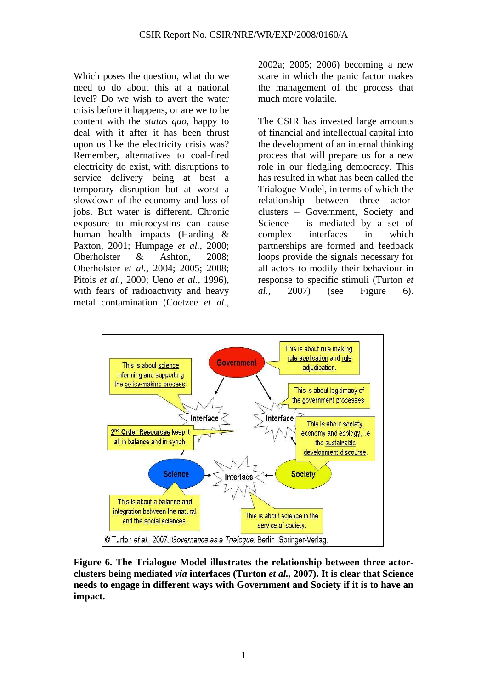Which poses the question, what do we need to do about this at a national level? Do we wish to avert the water crisis before it happens, or are we to be content with the *status quo*, happy to deal with it after it has been thrust upon us like the electricity crisis was? Remember, alternatives to coal-fired electricity do exist, with disruptions to service delivery being at best a temporary disruption but at worst a slowdown of the economy and loss of jobs. But water is different. Chronic exposure to microcystins can cause human health impacts (Harding & Paxton, 2001; Humpage *et al.,* 2000; Oberholster & Ashton, 2008; Oberholster *et al.,* 2004; 2005; 2008; Pitois *et al.,* 2000; Ueno *et al.,* 1996), with fears of radioactivity and heavy metal contamination (Coetzee *et al.,*

2002a; 2005; 2006) becoming a new scare in which the panic factor makes the management of the process that much more volatile.

The CSIR has invested large amounts of financial and intellectual capital into the development of an internal thinking process that will prepare us for a new role in our fledgling democracy. This has resulted in what has been called the Trialogue Model, in terms of which the relationship between three actorclusters – Government, Society and Science – is mediated by a set of complex interfaces in which partnerships are formed and feedback loops provide the signals necessary for all actors to modify their behaviour in response to specific stimuli (Turton *et al.,* 2007) (see Figure 6).



**Figure 6. The Trialogue Model illustrates the relationship between three actorclusters being mediated** *via* **interfaces (Turton** *et al.,* **2007). It is clear that Science needs to engage in different ways with Government and Society if it is to have an impact.**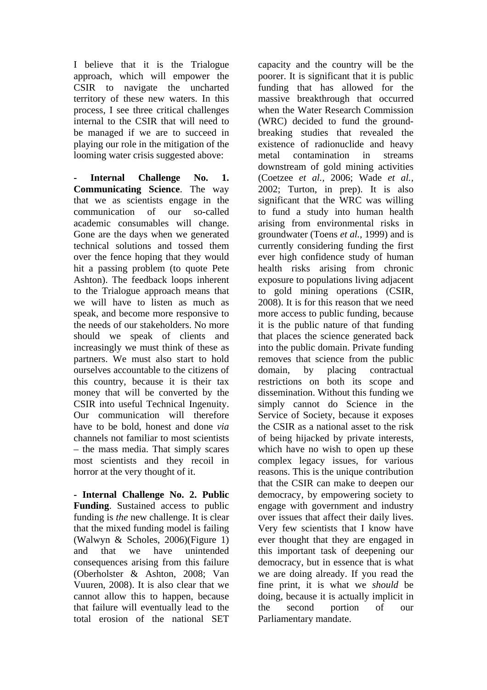I believe that it is the Trialogue approach, which will empower the CSIR to navigate the uncharted territory of these new waters. In this process, I see three critical challenges internal to the CSIR that will need to be managed if we are to succeed in playing our role in the mitigation of the looming water crisis suggested above:

Internal Challenge No. 1. **Communicating Science**. The way that we as scientists engage in the communication of our so-called academic consumables will change. Gone are the days when we generated technical solutions and tossed them over the fence hoping that they would hit a passing problem (to quote Pete Ashton). The feedback loops inherent to the Trialogue approach means that we will have to listen as much as speak, and become more responsive to the needs of our stakeholders. No more should we speak of clients and increasingly we must think of these as partners. We must also start to hold ourselves accountable to the citizens of this country, because it is their tax money that will be converted by the CSIR into useful Technical Ingenuity. Our communication will therefore have to be bold, honest and done *via* channels not familiar to most scientists – the mass media. That simply scares most scientists and they recoil in horror at the very thought of it.

**- Internal Challenge No. 2. Public Funding**. Sustained access to public funding is *the* new challenge. It is clear that the mixed funding model is failing (Walwyn & Scholes, 2006)(Figure 1) and that we have unintended consequences arising from this failure (Oberholster & Ashton, 2008; Van Vuuren, 2008). It is also clear that we cannot allow this to happen, because that failure will eventually lead to the total erosion of the national SET

capacity and the country will be the poorer. It is significant that it is public funding that has allowed for the massive breakthrough that occurred when the Water Research Commission (WRC) decided to fund the groundbreaking studies that revealed the existence of radionuclide and heavy metal contamination in streams downstream of gold mining activities (Coetzee *et al.,* 2006; Wade *et al.,* 2002; Turton, in prep). It is also significant that the WRC was willing to fund a study into human health arising from environmental risks in groundwater (Toens *et al.,* 1999) and is currently considering funding the first ever high confidence study of human health risks arising from chronic exposure to populations living adjacent to gold mining operations (CSIR, 2008). It is for this reason that we need more access to public funding, because it is the public nature of that funding that places the science generated back into the public domain. Private funding removes that science from the public domain, by placing contractual restrictions on both its scope and dissemination. Without this funding we simply cannot do Science in the Service of Society, because it exposes the CSIR as a national asset to the risk of being hijacked by private interests, which have no wish to open up these complex legacy issues, for various reasons. This is the unique contribution that the CSIR can make to deepen our democracy, by empowering society to engage with government and industry over issues that affect their daily lives. Very few scientists that I know have ever thought that they are engaged in this important task of deepening our democracy, but in essence that is what we are doing already. If you read the fine print, it is what we *should* be doing, because it is actually implicit in the second portion of our Parliamentary mandate.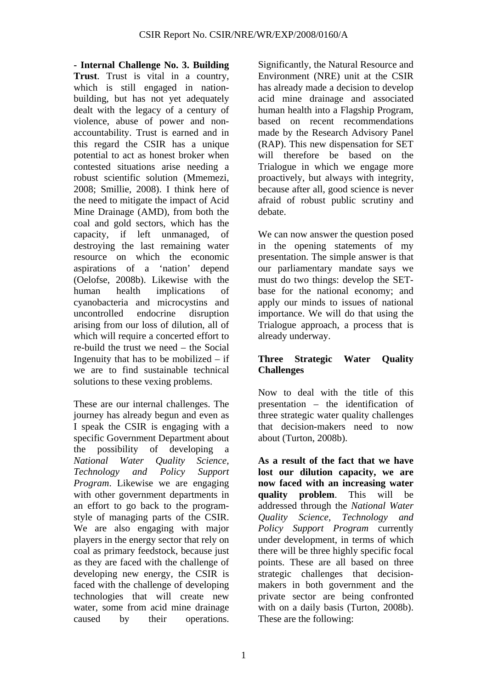**- Internal Challenge No. 3. Building Trust**. Trust is vital in a country, which is still engaged in nationbuilding, but has not yet adequately dealt with the legacy of a century of violence, abuse of power and nonaccountability. Trust is earned and in this regard the CSIR has a unique potential to act as honest broker when contested situations arise needing a robust scientific solution (Mmemezi, 2008; Smillie, 2008). I think here of the need to mitigate the impact of Acid Mine Drainage (AMD), from both the coal and gold sectors, which has the capacity, if left unmanaged, of destroying the last remaining water resource on which the economic aspirations of a 'nation' depend (Oelofse, 2008b). Likewise with the human health implications of cyanobacteria and microcystins and uncontrolled endocrine disruption arising from our loss of dilution, all of which will require a concerted effort to re-build the trust we need – the Social Ingenuity that has to be mobilized – if we are to find sustainable technical solutions to these vexing problems.

These are our internal challenges. The journey has already begun and even as I speak the CSIR is engaging with a specific Government Department about the possibility of developing a *National Water Quality Science, Technology and Policy Support Program*. Likewise we are engaging with other government departments in an effort to go back to the programstyle of managing parts of the CSIR. We are also engaging with major players in the energy sector that rely on coal as primary feedstock, because just as they are faced with the challenge of developing new energy, the CSIR is faced with the challenge of developing technologies that will create new water, some from acid mine drainage caused by their operations.

Significantly, the Natural Resource and Environment (NRE) unit at the CSIR has already made a decision to develop acid mine drainage and associated human health into a Flagship Program, based on recent recommendations made by the Research Advisory Panel (RAP). This new dispensation for SET will therefore be based on the Trialogue in which we engage more proactively, but always with integrity, because after all, good science is never afraid of robust public scrutiny and debate.

We can now answer the question posed in the opening statements of my presentation. The simple answer is that our parliamentary mandate says we must do two things: develop the SETbase for the national economy; and apply our minds to issues of national importance. We will do that using the Trialogue approach, a process that is already underway.

# **Three Strategic Water Quality Challenges**

Now to deal with the title of this presentation – the identification of three strategic water quality challenges that decision-makers need to now about (Turton, 2008b).

**As a result of the fact that we have lost our dilution capacity, we are now faced with an increasing water quality problem**. This will be addressed through the *National Water Quality Science, Technology and Policy Support Program* currently under development, in terms of which there will be three highly specific focal points. These are all based on three strategic challenges that decisionmakers in both government and the private sector are being confronted with on a daily basis (Turton, 2008b). These are the following: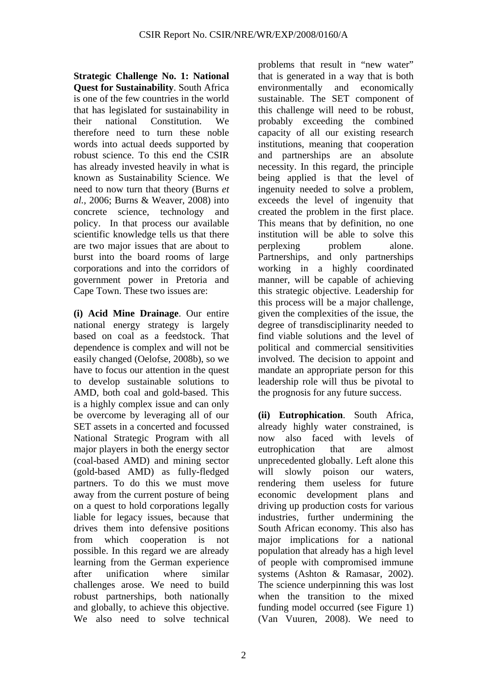**Strategic Challenge No. 1: National Quest for Sustainability**. South Africa is one of the few countries in the world that has legislated for sustainability in their national Constitution. We therefore need to turn these noble words into actual deeds supported by robust science. To this end the CSIR has already invested heavily in what is known as Sustainability Science. We need to now turn that theory (Burns *et al.,* 2006; Burns & Weaver, 2008) into concrete science, technology and policy. In that process our available scientific knowledge tells us that there are two major issues that are about to burst into the board rooms of large corporations and into the corridors of government power in Pretoria and Cape Town. These two issues are:

**(i) Acid Mine Drainage**. Our entire national energy strategy is largely based on coal as a feedstock. That dependence is complex and will not be easily changed (Oelofse, 2008b), so we have to focus our attention in the quest to develop sustainable solutions to AMD, both coal and gold-based. This is a highly complex issue and can only be overcome by leveraging all of our SET assets in a concerted and focussed National Strategic Program with all major players in both the energy sector (coal-based AMD) and mining sector (gold-based AMD) as fully-fledged partners. To do this we must move away from the current posture of being on a quest to hold corporations legally liable for legacy issues, because that drives them into defensive positions from which cooperation is not possible. In this regard we are already learning from the German experience after unification where similar challenges arose. We need to build robust partnerships, both nationally and globally, to achieve this objective. We also need to solve technical

problems that result in "new water" that is generated in a way that is both environmentally and economically sustainable. The SET component of this challenge will need to be robust, probably exceeding the combined capacity of all our existing research institutions, meaning that cooperation and partnerships are an absolute necessity. In this regard, the principle being applied is that the level of ingenuity needed to solve a problem, exceeds the level of ingenuity that created the problem in the first place. This means that by definition, no one institution will be able to solve this perplexing problem alone. Partnerships, and only partnerships working in a highly coordinated manner, will be capable of achieving this strategic objective. Leadership for this process will be a major challenge, given the complexities of the issue, the degree of transdisciplinarity needed to find viable solutions and the level of political and commercial sensitivities involved. The decision to appoint and mandate an appropriate person for this leadership role will thus be pivotal to the prognosis for any future success.

**(ii) Eutrophication**. South Africa, already highly water constrained, is now also faced with levels of eutrophication that are almost unprecedented globally. Left alone this will slowly poison our waters. rendering them useless for future economic development plans and driving up production costs for various industries, further undermining the South African economy. This also has major implications for a national population that already has a high level of people with compromised immune systems (Ashton & Ramasar, 2002). The science underpinning this was lost when the transition to the mixed funding model occurred (see Figure 1) (Van Vuuren, 2008). We need to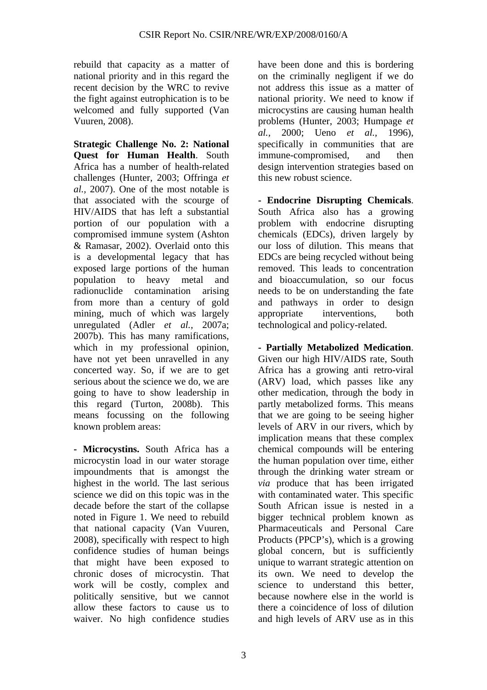rebuild that capacity as a matter of national priority and in this regard the recent decision by the WRC to revive the fight against eutrophication is to be welcomed and fully supported (Van Vuuren, 2008).

**Strategic Challenge No. 2: National Quest for Human Health**. South Africa has a number of health-related challenges (Hunter, 2003; Offringa *et al.,* 2007). One of the most notable is that associated with the scourge of HIV/AIDS that has left a substantial portion of our population with a compromised immune system (Ashton & Ramasar, 2002). Overlaid onto this is a developmental legacy that has exposed large portions of the human population to heavy metal and radionuclide contamination arising from more than a century of gold mining, much of which was largely unregulated (Adler *et al.,* 2007a; 2007b). This has many ramifications, which in my professional opinion, have not yet been unravelled in any concerted way. So, if we are to get serious about the science we do, we are going to have to show leadership in this regard (Turton, 2008b). This means focussing on the following known problem areas:

**- Microcystins.** South Africa has a microcystin load in our water storage impoundments that is amongst the highest in the world. The last serious science we did on this topic was in the decade before the start of the collapse noted in Figure 1. We need to rebuild that national capacity (Van Vuuren, 2008), specifically with respect to high confidence studies of human beings that might have been exposed to chronic doses of microcystin. That work will be costly, complex and politically sensitive, but we cannot allow these factors to cause us to waiver. No high confidence studies

have been done and this is bordering on the criminally negligent if we do not address this issue as a matter of national priority. We need to know if microcystins are causing human health problems (Hunter, 2003; Humpage *et al.,* 2000; Ueno *et al.,* 1996), specifically in communities that are immune-compromised, and then design intervention strategies based on this new robust science.

**- Endocrine Disrupting Chemicals**. South Africa also has a growing problem with endocrine disrupting chemicals (EDCs), driven largely by our loss of dilution. This means that EDCs are being recycled without being removed. This leads to concentration and bioaccumulation, so our focus needs to be on understanding the fate and pathways in order to design appropriate interventions, both technological and policy-related.

**- Partially Metabolized Medication**. Given our high HIV/AIDS rate, South Africa has a growing anti retro-viral (ARV) load, which passes like any other medication, through the body in partly metabolized forms. This means that we are going to be seeing higher levels of ARV in our rivers, which by implication means that these complex chemical compounds will be entering the human population over time, either through the drinking water stream or *via* produce that has been irrigated with contaminated water. This specific South African issue is nested in a bigger technical problem known as Pharmaceuticals and Personal Care Products (PPCP's), which is a growing global concern, but is sufficiently unique to warrant strategic attention on its own. We need to develop the science to understand this better. because nowhere else in the world is there a coincidence of loss of dilution and high levels of ARV use as in this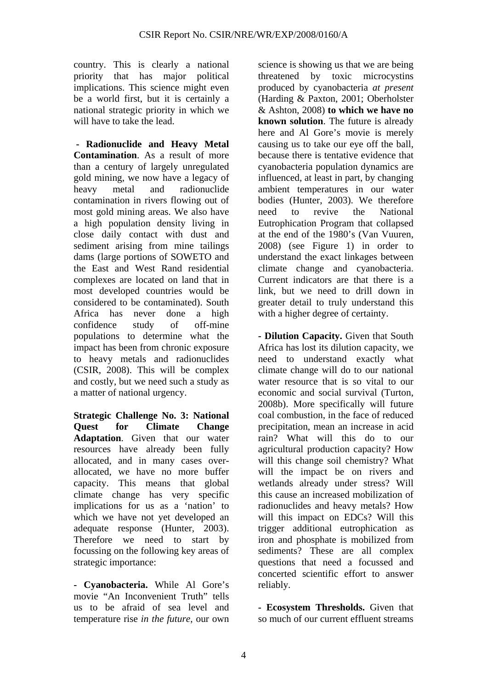country. This is clearly a national priority that has major political implications. This science might even be a world first, but it is certainly a national strategic priority in which we will have to take the lead.

 **- Radionuclide and Heavy Metal Contamination**. As a result of more than a century of largely unregulated gold mining, we now have a legacy of heavy metal and radionuclide contamination in rivers flowing out of most gold mining areas. We also have a high population density living in close daily contact with dust and sediment arising from mine tailings dams (large portions of SOWETO and the East and West Rand residential complexes are located on land that in most developed countries would be considered to be contaminated). South Africa has never done a high confidence study of off-mine populations to determine what the impact has been from chronic exposure to heavy metals and radionuclides (CSIR, 2008). This will be complex and costly, but we need such a study as a matter of national urgency.

**Strategic Challenge No. 3: National Quest for Climate Change Adaptation**. Given that our water resources have already been fully allocated, and in many cases overallocated, we have no more buffer capacity. This means that global climate change has very specific implications for us as a 'nation' to which we have not yet developed an adequate response (Hunter, 2003). Therefore we need to start by focussing on the following key areas of strategic importance:

**- Cyanobacteria.** While Al Gore's movie "An Inconvenient Truth" tells us to be afraid of sea level and temperature rise *in the future*, our own

science is showing us that we are being threatened by toxic microcystins produced by cyanobacteria *at present* (Harding & Paxton, 2001; Oberholster & Ashton, 2008) **to which we have no known solution**. The future is already here and Al Gore's movie is merely causing us to take our eye off the ball, because there is tentative evidence that cyanobacteria population dynamics are influenced, at least in part, by changing ambient temperatures in our water bodies (Hunter, 2003). We therefore need to revive the National Eutrophication Program that collapsed at the end of the 1980's (Van Vuuren, 2008) (see Figure 1) in order to understand the exact linkages between climate change and cyanobacteria. Current indicators are that there is a link, but we need to drill down in greater detail to truly understand this with a higher degree of certainty.

**- Dilution Capacity.** Given that South Africa has lost its dilution capacity, we need to understand exactly what climate change will do to our national water resource that is so vital to our economic and social survival (Turton, 2008b). More specifically will future coal combustion, in the face of reduced precipitation, mean an increase in acid rain? What will this do to our agricultural production capacity? How will this change soil chemistry? What will the impact be on rivers and wetlands already under stress? Will this cause an increased mobilization of radionuclides and heavy metals? How will this impact on EDCs? Will this trigger additional eutrophication as iron and phosphate is mobilized from sediments? These are all complex questions that need a focussed and concerted scientific effort to answer reliably.

**- Ecosystem Thresholds.** Given that so much of our current effluent streams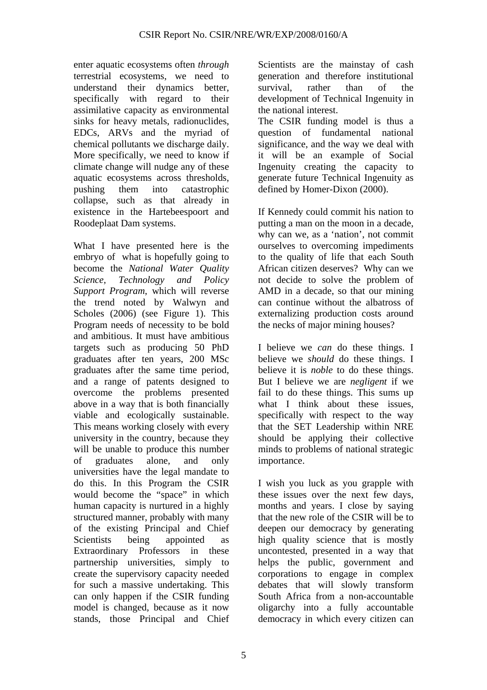enter aquatic ecosystems often *through* terrestrial ecosystems, we need to understand their dynamics better, specifically with regard to their assimilative capacity as environmental sinks for heavy metals, radionuclides, EDCs, ARVs and the myriad of chemical pollutants we discharge daily. More specifically, we need to know if climate change will nudge any of these aquatic ecosystems across thresholds, pushing them into catastrophic collapse, such as that already in existence in the Hartebeespoort and Roodeplaat Dam systems.

What I have presented here is the embryo of what is hopefully going to become the *National Water Quality Science, Technology and Policy Support Program*, which will reverse the trend noted by Walwyn and Scholes (2006) (see Figure 1). This Program needs of necessity to be bold and ambitious. It must have ambitious targets such as producing 50 PhD graduates after ten years, 200 MSc graduates after the same time period, and a range of patents designed to overcome the problems presented above in a way that is both financially viable and ecologically sustainable. This means working closely with every university in the country, because they will be unable to produce this number of graduates alone, and only universities have the legal mandate to do this. In this Program the CSIR would become the "space" in which human capacity is nurtured in a highly structured manner, probably with many of the existing Principal and Chief Scientists being appointed as Extraordinary Professors in these partnership universities, simply to create the supervisory capacity needed for such a massive undertaking. This can only happen if the CSIR funding model is changed, because as it now stands, those Principal and Chief

Scientists are the mainstay of cash generation and therefore institutional survival, rather than of the development of Technical Ingenuity in the national interest.

The CSIR funding model is thus a question of fundamental national significance, and the way we deal with it will be an example of Social Ingenuity creating the capacity to generate future Technical Ingenuity as defined by Homer-Dixon (2000).

If Kennedy could commit his nation to putting a man on the moon in a decade, why can we, as a 'nation', not commit ourselves to overcoming impediments to the quality of life that each South African citizen deserves? Why can we not decide to solve the problem of AMD in a decade, so that our mining can continue without the albatross of externalizing production costs around the necks of major mining houses?

I believe we *can* do these things. I believe we *should* do these things. I believe it is *noble* to do these things. But I believe we are *negligent* if we fail to do these things. This sums up what I think about these issues, specifically with respect to the way that the SET Leadership within NRE should be applying their collective minds to problems of national strategic importance.

I wish you luck as you grapple with these issues over the next few days, months and years. I close by saying that the new role of the CSIR will be to deepen our democracy by generating high quality science that is mostly uncontested, presented in a way that helps the public, government and corporations to engage in complex debates that will slowly transform South Africa from a non-accountable oligarchy into a fully accountable democracy in which every citizen can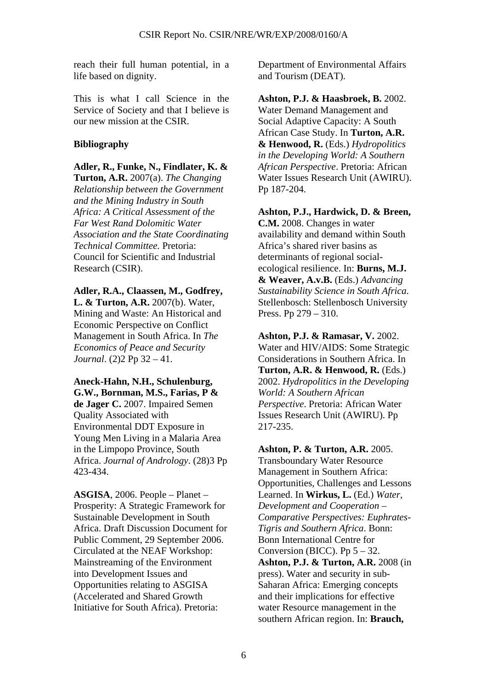reach their full human potential, in a life based on dignity.

This is what I call Science in the Service of Society and that I believe is our new mission at the CSIR.

## **Bibliography**

**Adler, R., Funke, N., Findlater, K. & Turton, A.R.** 2007(a). *The Changing Relationship between the Government and the Mining Industry in South Africa: A Critical Assessment of the Far West Rand Dolomitic Water Association and the State Coordinating Technical Committee.* Pretoria: Council for Scientific and Industrial Research (CSIR).

**Adler, R.A., Claassen, M., Godfrey, L. & Turton, A.R.** 2007(b). Water, Mining and Waste: An Historical and Economic Perspective on Conflict Management in South Africa. In *The Economics of Peace and Security Journal*. (2)2 Pp 32 – 41.

**Aneck-Hahn, N.H., Schulenburg, G.W., Bornman, M.S., Farias, P & de Jager C.** 2007. Impaired Semen Quality Associated with Environmental DDT Exposure in Young Men Living in a Malaria Area in the Limpopo Province, South Africa. *Journal of Andrology*. (28)3 Pp 423-434.

**ASGISA**, 2006. People – Planet – Prosperity: A Strategic Framework for Sustainable Development in South Africa. Draft Discussion Document for Public Comment, 29 September 2006. Circulated at the NEAF Workshop: Mainstreaming of the Environment into Development Issues and Opportunities relating to ASGISA (Accelerated and Shared Growth Initiative for South Africa). Pretoria:

Department of Environmental Affairs and Tourism (DEAT).

**Ashton, P.J. & Haasbroek, B.** 2002. Water Demand Management and Social Adaptive Capacity: A South African Case Study. In **Turton, A.R. & Henwood, R.** (Eds.) *Hydropolitics in the Developing World: A Southern African Perspective*. Pretoria: African Water Issues Research Unit (AWIRU). Pp 187-204.

**Ashton, P.J., Hardwick, D. & Breen, C.M.** 2008. Changes in water availability and demand within South Africa's shared river basins as determinants of regional socialecological resilience. In: **Burns, M.J. & Weaver, A.v.B.** (Eds.) *Advancing Sustainability Science in South Africa*. Stellenbosch: Stellenbosch University Press. Pp 279 – 310.

**Ashton, P.J. & Ramasar, V.** 2002. Water and HIV/AIDS: Some Strategic Considerations in Southern Africa. In **Turton, A.R. & Henwood, R.** (Eds.) 2002. *Hydropolitics in the Developing World: A Southern African Perspective*. Pretoria: African Water Issues Research Unit (AWIRU). Pp 217-235.

**Ashton, P. & Turton, A.R.** 2005. Transboundary Water Resource Management in Southern Africa: Opportunities, Challenges and Lessons Learned. In **Wirkus, L.** (Ed.) *Water, Development and Cooperation – Comparative Perspectives: Euphrates-Tigris and Southern Africa*. Bonn: Bonn International Centre for Conversion (BICC). Pp  $5 - 32$ . **Ashton, P.J. & Turton, A.R.** 2008 (in press). Water and security in sub-Saharan Africa: Emerging concepts and their implications for effective water Resource management in the southern African region. In: **Brauch,**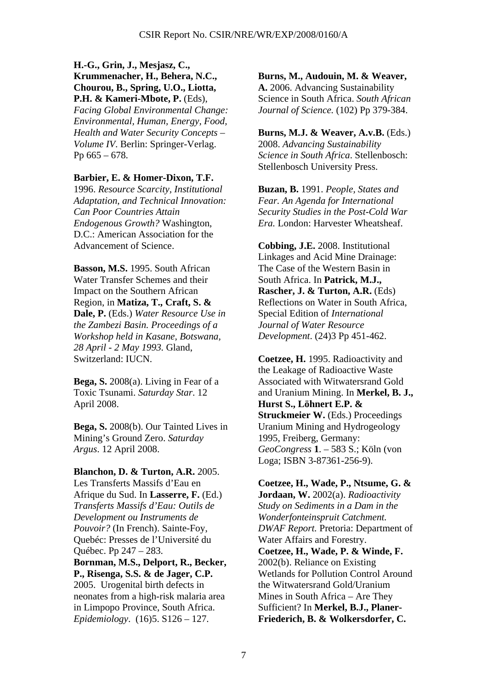**H.-G., Grin, J., Mesjasz, C., Krummenacher, H., Behera, N.C., Chourou, B., Spring, U.O., Liotta, P.H. & Kameri-Mbote, P.** (Eds), *Facing Global Environmental Change: Environmental, Human, Energy, Food, Health and Water Security Concepts – Volume IV*. Berlin: Springer-Verlag. Pp 665 – 678.

## **Barbier, E. & Homer-Dixon, T.F.**

1996. *Resource Scarcity, Institutional Adaptation, and Technical Innovation: Can Poor Countries Attain Endogenous Growth?* Washington, D.C.: American Association for the Advancement of Science.

**Basson, M.S.** 1995. South African Water Transfer Schemes and their Impact on the Southern African Region, in **Matiza, T., Craft, S. & Dale, P.** (Eds.) *Water Resource Use in the Zambezi Basin. Proceedings of a Workshop held in Kasane, Botswana, 28 April - 2 May 1993.* Gland, Switzerland: IUCN.

**Bega, S.** 2008(a). Living in Fear of a Toxic Tsunami. *Saturday Star*. 12 April 2008.

**Bega, S.** 2008(b). Our Tainted Lives in Mining's Ground Zero. *Saturday Argus*. 12 April 2008.

**Blanchon, D. & Turton, A.R.** 2005. Les Transferts Massifs d'Eau en Afrique du Sud. In **Lasserre, F.** (Ed.) *Transferts Massifs d'Eau: Outils de Development ou Instruments de Pouvoir?* (In French). Sainte-Foy, Quebéc: Presses de l'Université du Québec. Pp 247 – 283. **Bornman, M.S., Delport, R., Becker, P., Risenga, S.S. & de Jager, C.P.** 2005. Urogenital birth defects in neonates from a high-risk malaria area in Limpopo Province, South Africa. *Epidemiology*. (16)5. S126 – 127.

**Burns, M., Audouin, M. & Weaver, A.** 2006. Advancing Sustainability Science in South Africa. *South African Journal of Science.* (102) Pp 379-384.

**Burns, M.J. & Weaver, A.v.B.** (Eds.) 2008. *Advancing Sustainability Science in South Africa*. Stellenbosch: Stellenbosch University Press.

**Buzan, B.** 1991. *People, States and Fear. An Agenda for International Security Studies in the Post-Cold War Era.* London: Harvester Wheatsheaf.

**Cobbing, J.E.** 2008. Institutional Linkages and Acid Mine Drainage: The Case of the Western Basin in South Africa. In **Patrick, M.J., Rascher, J. & Turton, A.R.** (Eds) Reflections on Water in South Africa, Special Edition of *International Journal of Water Resource Development*. (24)3 Pp 451-462.

**Coetzee, H.** 1995. Radioactivity and the Leakage of Radioactive Waste Associated with Witwatersrand Gold and Uranium Mining. In **Merkel, B. J., Hurst S., Löhnert E.P. & Struckmeier W.** (Eds.) Proceedings Uranium Mining and Hydrogeology 1995, Freiberg, Germany: *GeoCongress* **1**. – 583 S.; Köln (von Loga; ISBN 3-87361-256-9).

**Coetzee, H., Wade, P., Ntsume, G. & Jordaan, W.** 2002(a). *Radioactivity Study on Sediments in a Dam in the Wonderfonteinspruit Catchment. DWAF Report.* Pretoria: Department of Water Affairs and Forestry. **Coetzee, H., Wade, P. & Winde, F.**  2002(b). Reliance on Existing Wetlands for Pollution Control Around the Witwatersrand Gold/Uranium Mines in South Africa – Are They Sufficient? In **Merkel, B.J., Planer-Friederich, B. & Wolkersdorfer, C.**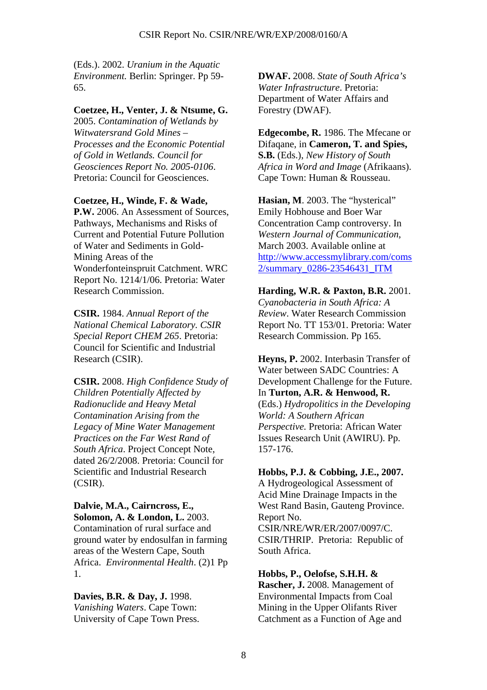(Eds.). 2002. *Uranium in the Aquatic Environment.* Berlin: Springer. Pp 59- 65.

### **Coetzee, H., Venter, J. & Ntsume, G.**

2005. *Contamination of Wetlands by Witwatersrand Gold Mines – Processes and the Economic Potential of Gold in Wetlands. Council for Geosciences Report No. 2005-0106*. Pretoria: Council for Geosciences.

## **Coetzee, H., Winde, F. & Wade,**

P.W. 2006. An Assessment of Sources, Pathways, Mechanisms and Risks of Current and Potential Future Pollution of Water and Sediments in Gold-Mining Areas of the Wonderfonteinspruit Catchment. WRC Report No. 1214/1/06. Pretoria: Water Research Commission.

**CSIR.** 1984. *Annual Report of the National Chemical Laboratory. CSIR Special Report CHEM 265*. Pretoria: Council for Scientific and Industrial Research (CSIR).

**CSIR.** 2008. *High Confidence Study of Children Potentially Affected by Radionuclide and Heavy Metal Contamination Arising from the Legacy of Mine Water Management Practices on the Far West Rand of South Africa*. Project Concept Note, dated 26/2/2008. Pretoria: Council for Scientific and Industrial Research (CSIR).

**Dalvie, M.A., Cairncross, E., Solomon, A. & London, L.** 2003. Contamination of rural surface and ground water by endosulfan in farming areas of the Western Cape, South Africa. *Environmental Health*. (2)1 Pp 1.

**Davies, B.R. & Day, J.** 1998. *Vanishing Waters*. Cape Town: University of Cape Town Press. **DWAF.** 2008. *State of South Africa's Water Infrastructure*. Pretoria: Department of Water Affairs and Forestry (DWAF).

**Edgecombe, R.** 1986. The Mfecane or Difaqane, in **Cameron, T. and Spies, S.B.** (Eds.), *New History of South Africa in Word and Image* (Afrikaans). Cape Town: Human & Rousseau.

**Hasian, M**. 2003. The "hysterical" Emily Hobhouse and Boer War Concentration Camp controversy. In *Western Journal of Communication*, March 2003. Available online at http://www.accessmylibrary.com/coms 2/summary\_0286-23546431\_ITM

**Harding, W.R. & Paxton, B.R.** 2001. *Cyanobacteria in South Africa: A Review*. Water Research Commission Report No. TT 153/01. Pretoria: Water Research Commission. Pp 165.

**Heyns, P.** 2002. Interbasin Transfer of Water between SADC Countries: A Development Challenge for the Future. In **Turton, A.R. & Henwood, R.** (Eds.) *Hydropolitics in the Developing World: A Southern African Perspective.* Pretoria: African Water Issues Research Unit (AWIRU). Pp. 157-176.

### **Hobbs, P.J. & Cobbing, J.E., 2007.**

A Hydrogeological Assessment of Acid Mine Drainage Impacts in the West Rand Basin, Gauteng Province. Report No.

CSIR/NRE/WR/ER/2007/0097/C. CSIR/THRIP. Pretoria: Republic of South Africa.

**Hobbs, P., Oelofse, S.H.H. & Rascher, J.** 2008. Management of Environmental Impacts from Coal Mining in the Upper Olifants River Catchment as a Function of Age and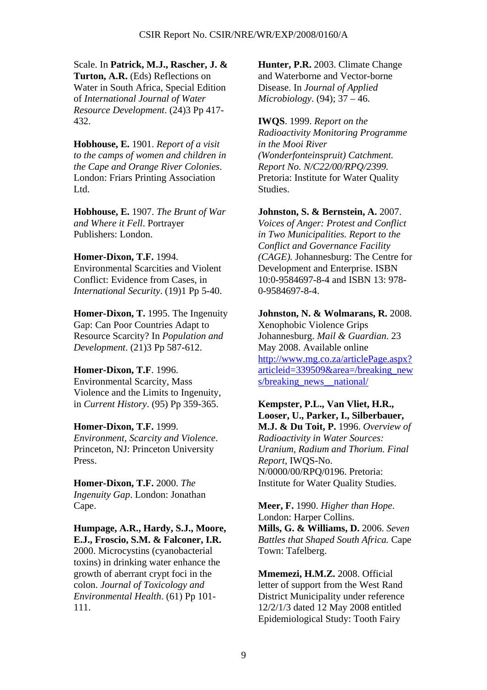Scale. In **Patrick, M.J., Rascher, J. & Turton, A.R.** (Eds) Reflections on Water in South Africa, Special Edition of *International Journal of Water Resource Development*. (24)3 Pp 417- 432.

**Hobhouse, E.** 1901. *Report of a visit to the camps of women and children in the Cape and Orange River Colonies*. London: Friars Printing Association Ltd.

**Hobhouse, E.** 1907. *The Brunt of War and Where it Fell*. Portrayer Publishers: London.

## **Homer-Dixon, T.F.** 1994.

Environmental Scarcities and Violent Conflict: Evidence from Cases, in *International Security*. (19)1 Pp 5-40.

**Homer-Dixon, T.** 1995. The Ingenuity Gap: Can Poor Countries Adapt to Resource Scarcity? In *Population and Development*. (21)3 Pp 587-612.

**Homer-Dixon, T.F**. 1996. Environmental Scarcity, Mass Violence and the Limits to Ingenuity, in *Current History*. (95) Pp 359-365.

**Homer-Dixon, T.F.** 1999. *Environment, Scarcity and Violence*. Princeton, NJ: Princeton University Press.

**Homer-Dixon, T.F.** 2000. *The Ingenuity Gap*. London: Jonathan Cape.

**Humpage, A.R., Hardy, S.J., Moore, E.J., Froscio, S.M. & Falconer, I.R.** 2000. Microcystins (cyanobacterial toxins) in drinking water enhance the growth of aberrant crypt foci in the colon. *Journal of Toxicology and Environmental Health*. (61) Pp 101- 111.

**Hunter, P.R.** 2003. Climate Change and Waterborne and Vector-borne Disease. In *Journal of Applied Microbiology*. (94); 37 – 46.

**IWQS**. 1999. *Report on the Radioactivity Monitoring Programme in the Mooi River (Wonderfonteinspruit) Catchment. Report No. N/C22/00/RPQ/2399.* Pretoria: Institute for Water Quality Studies.

**Johnston, S. & Bernstein, A.** 2007. *Voices of Anger: Protest and Conflict in Two Municipalities. Report to the Conflict and Governance Facility (CAGE).* Johannesburg: The Centre for Development and Enterprise. ISBN 10:0-9584697-8-4 and ISBN 13: 978- 0-9584697-8-4.

**Johnston, N. & Wolmarans, R.** 2008. Xenophobic Violence Grips Johannesburg. *Mail & Guardian*. 23 May 2008. Available online http://www.mg.co.za/articlePage.aspx? articleid=339509&area=/breaking\_new s/breaking\_news\_national/

**Kempster, P.L., Van Vliet, H.R., Looser, U., Parker, I., Silberbauer, M.J. & Du Toit, P.** 1996. *Overview of Radioactivity in Water Sources: Uranium, Radium and Thorium. Final Report*, IWQS-No. N/0000/00/RPQ/0196. Pretoria: Institute for Water Quality Studies.

**Meer, F.** 1990. *Higher than Hope*. London: Harper Collins. **Mills, G. & Williams, D.** 2006. *Seven Battles that Shaped South Africa.* Cape Town: Tafelberg.

**Mmemezi, H.M.Z.** 2008. Official letter of support from the West Rand District Municipality under reference 12/2/1/3 dated 12 May 2008 entitled Epidemiological Study: Tooth Fairy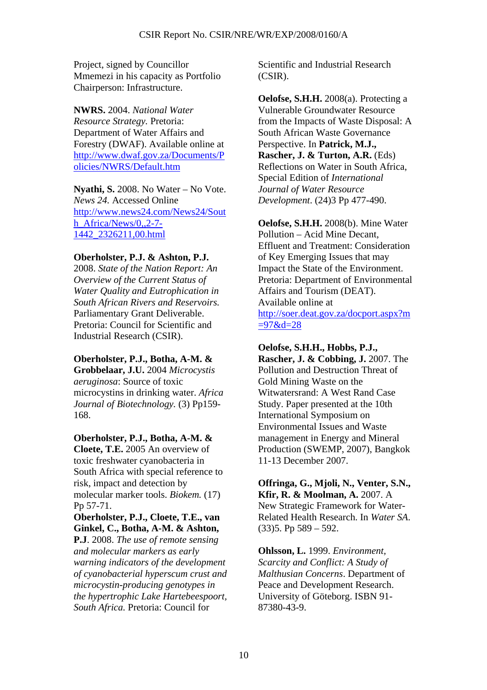Project, signed by Councillor Mmemezi in his capacity as Portfolio Chairperson: Infrastructure.

**NWRS.** 2004. *National Water Resource Strategy.* Pretoria: Department of Water Affairs and Forestry (DWAF). Available online at http://www.dwaf.gov.za/Documents/P olicies/NWRS/Default.htm

**Nyathi, S.** 2008. No Water – No Vote. *News 24.* Accessed Online http://www.news24.com/News24/Sout h\_Africa/News/0,,2-7-1442\_2326211,00.html

## **Oberholster, P.J. & Ashton, P.J.**

2008. *State of the Nation Report: An Overview of the Current Status of Water Quality and Eutrophication in South African Rivers and Reservoirs.*  Parliamentary Grant Deliverable. Pretoria: Council for Scientific and Industrial Research (CSIR).

**Oberholster, P.J., Botha, A-M. & Grobbelaar, J.U.** 2004 *Microcystis aeruginosa*: Source of toxic

microcystins in drinking water. *Africa Journal of Biotechnology.* (3) Pp159- 168.

**Oberholster, P.J., Botha, A-M. &** 

**Cloete, T.E.** 2005 An overview of toxic freshwater cyanobacteria in South Africa with special reference to risk, impact and detection by molecular marker tools. *Biokem.* (17) Pp 57-71.

**Oberholster, P.J., Cloete, T.E., van Ginkel, C., Botha, A-M. & Ashton,** 

**P.J**. 2008. *The use of remote sensing and molecular markers as early warning indicators of the development of cyanobacterial hyperscum crust and microcystin-producing genotypes in the hypertrophic Lake Hartebeespoort, South Africa.* Pretoria: Council for

Scientific and Industrial Research (CSIR).

**Oelofse, S.H.H.** 2008(a). Protecting a Vulnerable Groundwater Resource from the Impacts of Waste Disposal: A South African Waste Governance Perspective. In **Patrick, M.J., Rascher, J. & Turton, A.R.** (Eds) Reflections on Water in South Africa, Special Edition of *International Journal of Water Resource Development*. (24)3 Pp 477-490.

**Oelofse, S.H.H.** 2008(b). Mine Water Pollution – Acid Mine Decant, Effluent and Treatment: Consideration of Key Emerging Issues that may Impact the State of the Environment. Pretoria: Department of Environmental Affairs and Tourism (DEAT). Available online at http://soer.deat.gov.za/docport.aspx?m

 $=97$ &d=28

**Oelofse, S.H.H., Hobbs, P.J., Rascher, J. & Cobbing, J. 2007.** The Pollution and Destruction Threat of Gold Mining Waste on the Witwatersrand: A West Rand Case Study. Paper presented at the 10th International Symposium on Environmental Issues and Waste management in Energy and Mineral Production (SWEMP, 2007), Bangkok 11-13 December 2007.

**Offringa, G., Mjoli, N., Venter, S.N., Kfir, R. & Moolman, A.** 2007. A New Strategic Framework for Water-Related Health Research. In *Water SA*.  $(33)$ 5. Pp 589 – 592.

**Ohlsson, L.** 1999. *Environment, Scarcity and Conflict: A Study of Malthusian Concerns*. Department of Peace and Development Research. University of Göteborg. ISBN 91- 87380-43-9.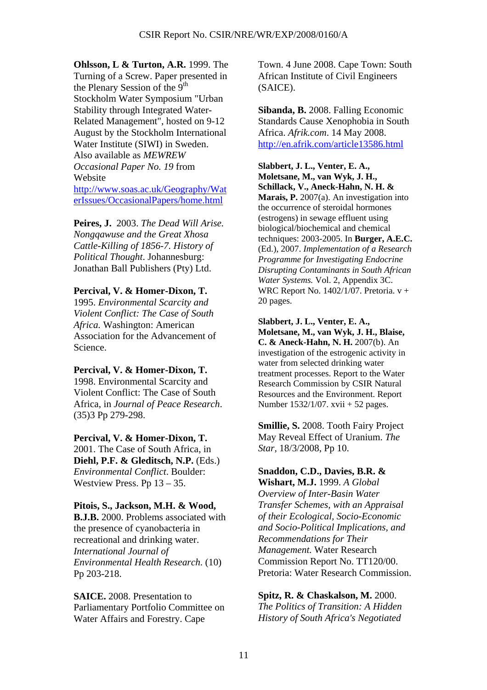**Ohlsson, L & Turton, A.R.** 1999. The Turning of a Screw. Paper presented in the Plenary Session of the  $9<sup>th</sup>$ Stockholm Water Symposium "Urban Stability through Integrated Water-Related Management", hosted on 9-12 August by the Stockholm International Water Institute (SIWI) in Sweden. Also available as *MEWREW Occasional Paper No. 19* from Website http://www.soas.ac.uk/Geography/Wat erIssues/OccasionalPapers/home.html

**Peires, J.** 2003. *The Dead Will Arise. Nongqawuse and the Great Xhosa Cattle-Killing of 1856-7. History of Political Thought*. Johannesburg: Jonathan Ball Publishers (Pty) Ltd.

#### **Percival, V. & Homer-Dixon, T.**

1995. *Environmental Scarcity and Violent Conflict: The Case of South Africa.* Washington: American Association for the Advancement of Science.

**Percival, V. & Homer-Dixon, T.** 1998. Environmental Scarcity and Violent Conflict: The Case of South Africa, in *Journal of Peace Research*. (35)3 Pp 279-298.

#### **Percival, V. & Homer-Dixon, T.**

2001. The Case of South Africa, in **Diehl, P.F. & Gleditsch, N.P.** (Eds.) *Environmental Conflict*. Boulder: Westview Press. Pp 13 – 35.

### **Pitois, S., Jackson, M.H. & Wood,**

**B.J.B.** 2000. Problems associated with the presence of cyanobacteria in recreational and drinking water. *International Journal of Environmental Health Research*. (10) Pp 203-218.

**SAICE.** 2008. Presentation to Parliamentary Portfolio Committee on Water Affairs and Forestry. Cape

Town. 4 June 2008. Cape Town: South African Institute of Civil Engineers (SAICE).

**Sibanda, B.** 2008. Falling Economic Standards Cause Xenophobia in South Africa. *Afrik.com*. 14 May 2008. http://en.afrik.com/article13586.html

**Slabbert, J. L., Venter, E. A.,** 

**Moletsane, M., van Wyk, J. H., Schillack, V., Aneck-Hahn, N. H. & Marais, P.** 2007(a). An investigation into the occurrence of steroidal hormones (estrogens) in sewage effluent using biological/biochemical and chemical techniques: 2003-2005. In **Burger, A.E.C.** (Ed.), 2007. *Implementation of a Research Programme for Investigating Endocrine Disrupting Contaminants in South African Water Systems.* Vol. 2, Appendix 3C. WRC Report No. 1402/1/07. Pretoria. v + 20 pages.

**Slabbert, J. L., Venter, E. A., Moletsane, M., van Wyk, J. H., Blaise, C. & Aneck-Hahn, N. H.** 2007(b). An investigation of the estrogenic activity in water from selected drinking water treatment processes. Report to the Water Research Commission by CSIR Natural Resources and the Environment. Report Number 1532/1/07. xvii + 52 pages.

**Smillie, S.** 2008. Tooth Fairy Project May Reveal Effect of Uranium. *The Star,* 18/3/2008, Pp 10.

## **Snaddon, C.D., Davies, B.R. &**

**Wishart, M.J.** 1999. *A Global Overview of Inter-Basin Water Transfer Schemes, with an Appraisal of their Ecological, Socio-Economic and Socio-Political Implications, and Recommendations for Their Management.* Water Research Commission Report No. TT120/00. Pretoria: Water Research Commission.

#### **Spitz, R. & Chaskalson, M.** 2000.

*The Politics of Transition: A Hidden History of South Africa's Negotiated*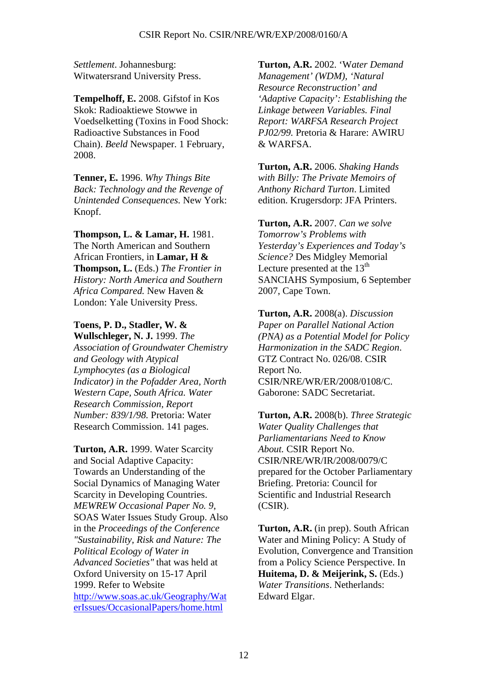*Settlement*. Johannesburg: Witwatersrand University Press.

**Tempelhoff, E.** 2008. Gifstof in Kos Skok: Radioaktiewe Stowwe in Voedselketting (Toxins in Food Shock: Radioactive Substances in Food Chain). *Beeld* Newspaper. 1 February, 2008.

**Tenner, E.** 1996. *Why Things Bite Back: Technology and the Revenge of Unintended Consequences.* New York: Knopf.

**Thompson, L. & Lamar, H.** 1981. The North American and Southern African Frontiers, in **Lamar, H & Thompson, L.** (Eds.) *The Frontier in History: North America and Southern Africa Compared.* New Haven & London: Yale University Press.

### **Toens, P. D., Stadler, W. &**

**Wullschleger, N. J.** 1999. *The Association of Groundwater Chemistry and Geology with Atypical Lymphocytes (as a Biological Indicator) in the Pofadder Area, North Western Cape, South Africa. Water Research Commission, Report Number: 839/1/98.* Pretoria: Water Research Commission. 141 pages.

**Turton, A.R.** 1999. Water Scarcity and Social Adaptive Capacity: Towards an Understanding of the Social Dynamics of Managing Water Scarcity in Developing Countries. *MEWREW Occasional Paper No. 9*, SOAS Water Issues Study Group. Also in the *Proceedings of the Conference "Sustainability, Risk and Nature: The Political Ecology of Water in Advanced Societies"* that was held at Oxford University on 15-17 April 1999. Refer to Website http://www.soas.ac.uk/Geography/Wat erIssues/OccasionalPapers/home.html

**Turton, A.R.** 2002. 'W*ater Demand Management' (WDM), 'Natural Resource Reconstruction' and 'Adaptive Capacity': Establishing the Linkage between Variables. Final Report: WARFSA Research Project PJ02/99.* Pretoria & Harare: AWIRU & WARFSA.

**Turton, A.R.** 2006. *Shaking Hands with Billy: The Private Memoirs of Anthony Richard Turton*. Limited edition. Krugersdorp: JFA Printers.

**Turton, A.R.** 2007. *Can we solve Tomorrow's Problems with Yesterday's Experiences and Today's Science?* Des Midgley Memorial Lecture presented at the  $13<sup>th</sup>$ SANCIAHS Symposium, 6 September 2007, Cape Town.

**Turton, A.R.** 2008(a). *Discussion Paper on Parallel National Action (PNA) as a Potential Model for Policy Harmonization in the SADC Region*. GTZ Contract No. 026/08. CSIR Report No. CSIR/NRE/WR/ER/2008/0108/C. Gaborone: SADC Secretariat.

**Turton, A.R.** 2008(b). *Three Strategic Water Quality Challenges that Parliamentarians Need to Know About.* CSIR Report No. CSIR/NRE/WR/IR/2008/0079/C prepared for the October Parliamentary Briefing. Pretoria: Council for Scientific and Industrial Research (CSIR).

**Turton, A.R.** (in prep). South African Water and Mining Policy: A Study of Evolution, Convergence and Transition from a Policy Science Perspective. In **Huitema, D. & Meijerink, S.** (Eds.) *Water Transitions*. Netherlands: Edward Elgar.